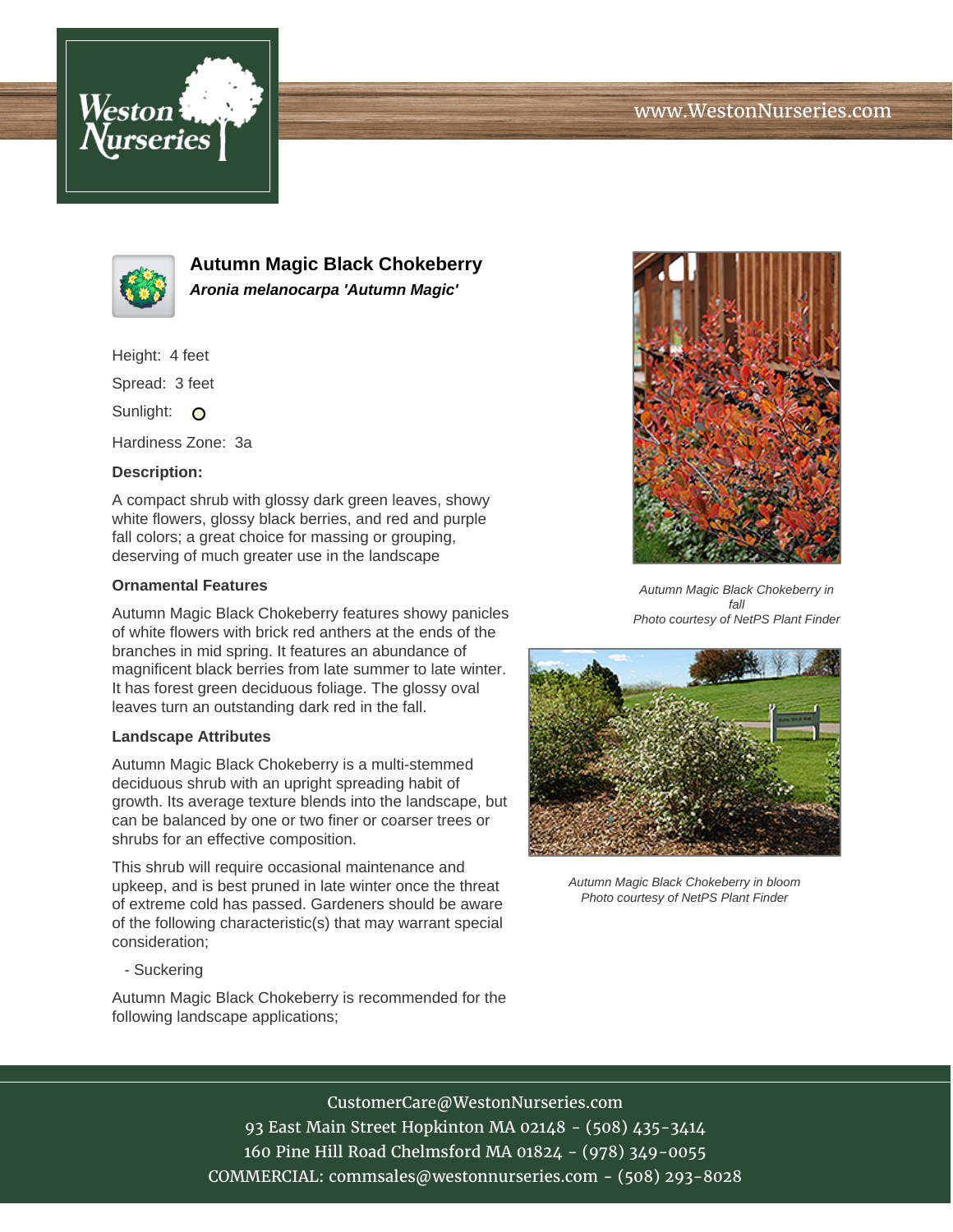



**Autumn Magic Black Chokeberry Aronia melanocarpa 'Autumn Magic'**

Height: 4 feet

Spread: 3 feet

Sunlight: O

Hardiness Zone: 3a

### **Description:**

A compact shrub with glossy dark green leaves, showy white flowers, glossy black berries, and red and purple fall colors; a great choice for massing or grouping, deserving of much greater use in the landscape

#### **Ornamental Features**

Autumn Magic Black Chokeberry features showy panicles of white flowers with brick red anthers at the ends of the branches in mid spring. It features an abundance of magnificent black berries from late summer to late winter. It has forest green deciduous foliage. The glossy oval leaves turn an outstanding dark red in the fall.

#### **Landscape Attributes**

Autumn Magic Black Chokeberry is a multi-stemmed deciduous shrub with an upright spreading habit of growth. Its average texture blends into the landscape, but can be balanced by one or two finer or coarser trees or shrubs for an effective composition.

This shrub will require occasional maintenance and upkeep, and is best pruned in late winter once the threat of extreme cold has passed. Gardeners should be aware of the following characteristic(s) that may warrant special consideration;

- Suckering

Autumn Magic Black Chokeberry is recommended for the following landscape applications;



Autumn Magic Black Chokeberry in fall Photo courtesy of NetPS Plant Finder



Autumn Magic Black Chokeberry in bloom Photo courtesy of NetPS Plant Finder

# CustomerCare@WestonNurseries.com

93 East Main Street Hopkinton MA 02148 - (508) 435-3414 160 Pine Hill Road Chelmsford MA 01824 - (978) 349-0055 COMMERCIAL: commsales@westonnurseries.com - (508) 293-8028